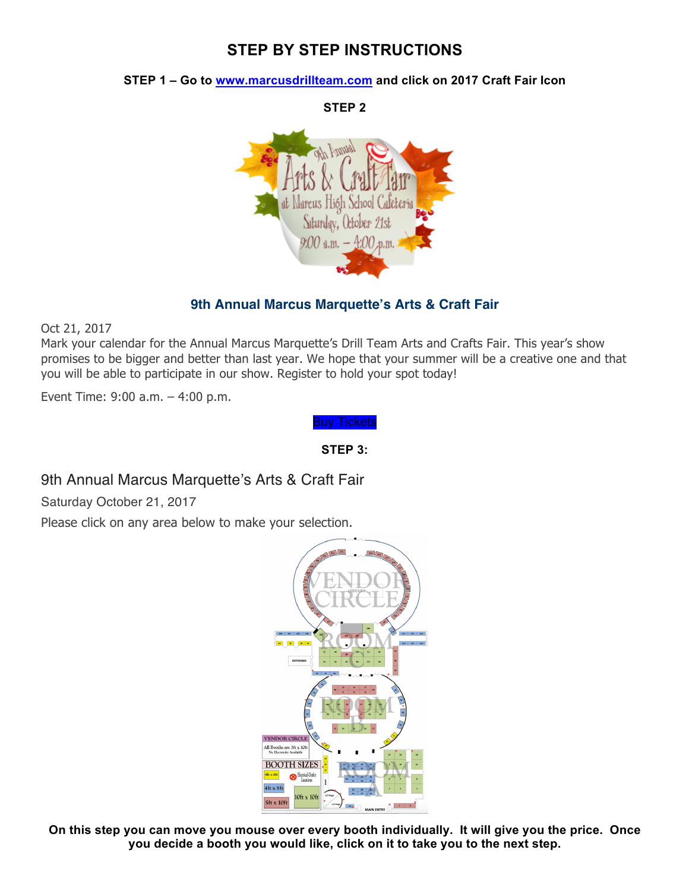# **STEP BY STEP INSTRUCTIONS**

#### **STEP 1 – Go to www.marcusdrillteam.com and click on 2017 Craft Fair Icon**

**STEP 2** us Hióh School: Saturday, October 21st  $9.00$  a.m.  $-$  4:00 x,m.

### **9th Annual Marcus Marquette's Arts & Craft Fair**

Oct 21, 2017

Mark your calendar for the Annual Marcus Marquette's Drill Team Arts and Crafts Fair. This year's show promises to be bigger and better than last year. We hope that your summer will be a creative one and that you will be able to participate in our show. Register to hold your spot today!

Event Time: 9:00 a.m. – 4:00 p.m.

Buy Tickets

**STEP 3:**

## 9th Annual Marcus Marquette's Arts & Craft Fair

Saturday October 21, 2017

Please click on any area below to make your selection.



**On this step you can move you mouse over every booth individually. It will give you the price. Once you decide a booth you would like, click on it to take you to the next step.**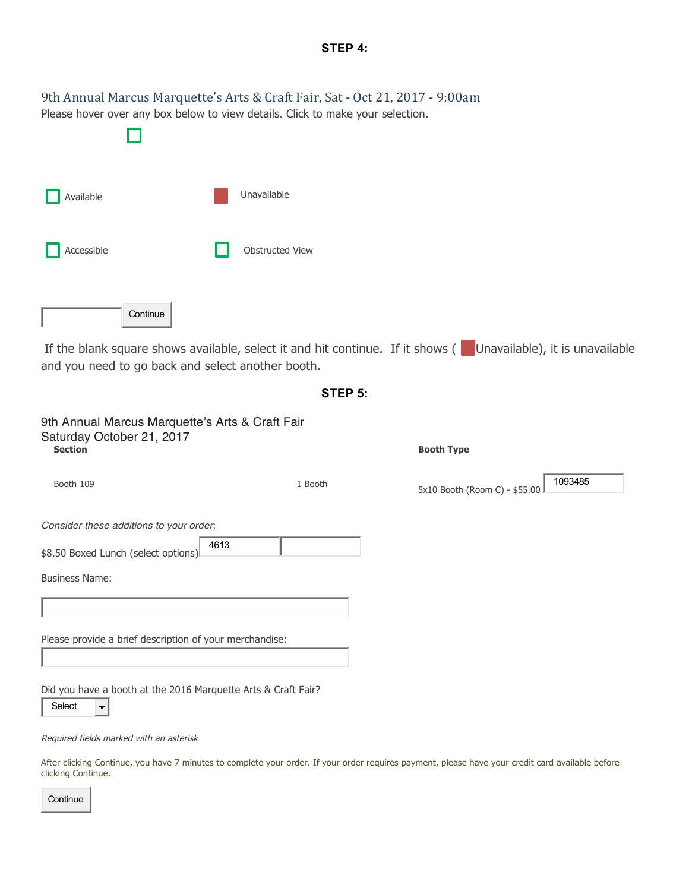|            | 9th Annual Marcus Marquette's Arts & Craft Fair, Sat - Oct 21, 2017 - 9:00am<br>Please hover over any box below to view details. Click to make your selection.     |  |
|------------|--------------------------------------------------------------------------------------------------------------------------------------------------------------------|--|
| Available  | Unavailable                                                                                                                                                        |  |
| Accessible | Obstructed View                                                                                                                                                    |  |
| Continue   |                                                                                                                                                                    |  |
|            | If the blank square shows available, select it and hit continue. If it shows (Unavailable), it is unavailable<br>and you need to go back and select another booth. |  |

9th Annual Marcus Marquette's Arts & Craft Fair Saturday October 21, 2017<br>
section **Section Booth Type** 1093485 Booth 109 1 Booth 109 1 Booth 109 1 Booth 5x10 Booth (Room C) - \$55.00 *Consider these additions to your order*: 4613 \$8.50 Boxed Lunch (select options) Business Name: Please provide a brief description of your merchandise: Did you have a booth at the 2016 Marquette Arts & Craft Fair? Select  $\blacksquare$ 

**STEP 5:**

Required fields marked with an asterisk

After clicking Continue, you have 7 minutes to complete your order. If your order requires payment, please have your credit card available before clicking Continue.

**Continue**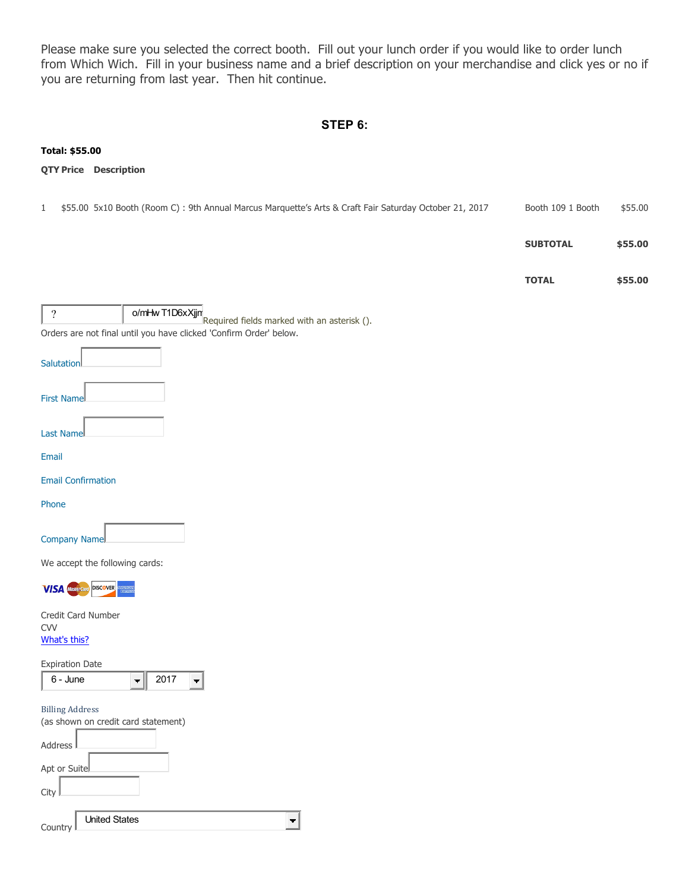Please make sure you selected the correct booth. Fill out your lunch order if you would like to order lunch from Which Wich. Fill in your business name and a brief description on your merchandise and click yes or no if you are returning from last year. Then hit continue.

#### **STEP 6:**

# **Total: \$55.00 QTY Price Description** 1 \$55.00 5x10 Booth (Room C) : 9th Annual Marcus Marquette's Arts & Craft Fair Saturday October 21, 2017 Booth 109 1 Booth \$55.00 **SUBTOTAL \$55.00 TOTAL \$55.00**  ? o/mHw T1D6xXjjn<br>Required fields marked with an asterisk (). Orders are not final until you have clicked 'Confirm Order' below. **Salutation** First Name Last Name Email Email Confirmation Phone Company Name We accept the following cards: **VISA** Mastercard DISCOVER Credit Card Number CVV What's this? Expiration Date 6 - June  $-$  2017  $\blacksquare$ Billing Address (as shown on credit card statement) Address Apt or Suite **City** United States $\left| \cdot \right|$ **Country**